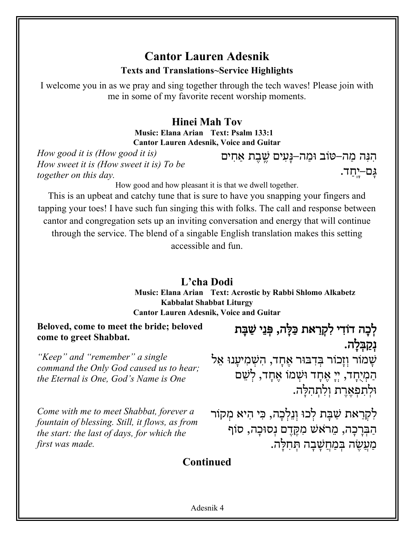## **Cantor Lauren Adesnik Texts and Translations~Service Highlights**

I welcome you in as we pray and sing together through the tech waves! Please join with me in some of my favorite recent worship moments.

#### **Hinei Mah Tov Music: Elana Arian Text: Psalm 133:1 Cantor Lauren Adesnik, Voice and Guitar**

*How good it is (How good it is) How sweet it is (How sweet it is) To be together on this day.* 

הִנִּה מַה–טּוֹב וּמַה–נָּעִים שֶׁבֶת אַחִים גָם–יָחָד.

How good and how pleasant it is that we dwell together.

This is an upbeat and catchy tune that is sure to have you snapping your fingers and tapping your toes! I have such fun singing this with folks. The call and response between cantor and congregation sets up an inviting conversation and energy that will continue through the service. The blend of a singable English translation makes this setting accessible and fun.

#### **L'cha Dodi**

**Music: Elana Arian Text: Acrostic by Rabbi Shlomo Alkabetz Kabbalat Shabbat Liturgy Cantor Lauren Adesnik, Voice and Guitar**

**Beloved, come to meet the bride; beloved**  הָכָה דוֹדִי לִקְרַאת כַּלָּה, פְּנֵי שַׁבָּת keloved לְכָה דוֹדִי לִקְרַאת כַּלָּה, פְּנֵי שַׁבָּת<br>,

*"Keep" and "remember" a single command the Only God caused us to hear; the Eternal is One, God's Name is One*

*Come with me to meet Shabbat, forever a fountain of blessing. Still, it flows, as from the start: the last of days, for which the first was made.*

**ּ**נְקַבְּלָה. ֹשָׁמוֹר וְזָכוֹר בִּדְבּוּר אֶחָד, הִשָּׁמְיעָנוּ אֵל הַמְיָחָד, יִי אֵחָד וּשָׁמוֹ אֵחָד, לִשֵּׁם וּלְתִפְאֶרֶת וְלְתִהְלָה.

לִקְרַאת שַׁבַּת לִכוּ וְנֵלְכָה, כִּי הִיא מִקוֹר הַבְּרָכָה, מֵרֹאָשׁ מִקֵּדֵם נִסוּכָה, סוֹף מְעֲשֶׂה בְּמַחֲשָׁבַה תְּחִלָּה.

#### **Continued**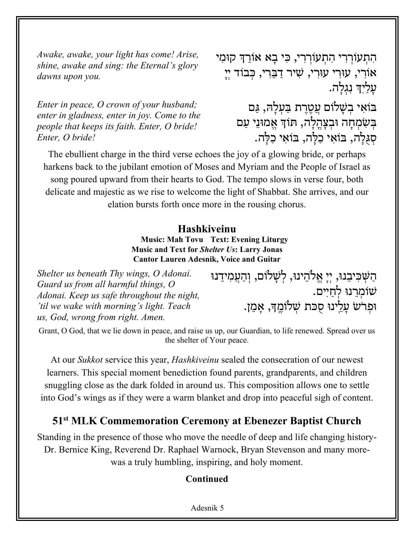*Awake, awake, your light has come! Arise, shine, awake and sing: the Eternal's glory dawns upon you.*

*Enter in peace, O crown of your husband; enter in gladness, enter in joy. Come to the people that keeps its faith. Enter, O bride! Enter, O bride!*

הִתְעוֹרְרִי הִתְעוֹרְרִי, כִּי בָא אוֹרֵךְ קוּמִי אוֹרִי, עוּרִי עוּרִי, שִׁיר דַבֵּרִי, כִּבוֹד יִיָ ּעֲלַיִךְ נִגְלָה. יִאוֹבּ םוֹלָשְׁב תֶרֶטֲע הָּלְעַבּ , םַגּ בְּשָׂמְחָה וּבְצָהֵלָה, תּוֹךְ אֱמוּנֵי עַם סְגְּלֵה, בּוֹאֵי כַלָּה, בּוֹאֵי כַלַּה.

The ebullient charge in the third verse echoes the joy of a glowing bride, or perhaps harkens back to the jubilant emotion of Moses and Myriam and the People of Israel as song poured upward from their hearts to God. The tempo slows in verse four, both delicate and majestic as we rise to welcome the light of Shabbat. She arrives, and our elation bursts forth once more in the rousing chorus.

#### **Hashkiveinu**

**Music: Mah Tovu Text: Evening Liturgy Music and Text for** *Shelter Us***: Larry Jonas Cantor Lauren Adesnik, Voice and Guitar**

*Shelter us beneath Thy wings, O Adonai. Guard us from all harmful things, O Adonai. Keep us safe throughout the night, 'til we wake with morning's light. Teach us, God, wrong from right. Amen.*

וּנִשְׁכִּיבִנוּ, יְיְ $\mu$ אֶלֹהֵינוּ, לְשָׁלוֹם, וְהַעֲמִידֵנוּ ּשׁוֹמְרֵנוּ לְחַיִים. ּוּפְרֹשׂ עָלֵינוּ סֻכּת שְׁלוֹמֶֽךָּ, אָמֵן.

Grant, O God, that we lie down in peace, and raise us up, our Guardian, to life renewed. Spread over us the shelter of Your peace.

At our *Sukkot* service this year, *Hashkiveinu* sealed the consecration of our newest learners. This special moment benediction found parents, grandparents, and children snuggling close as the dark folded in around us. This composition allows one to settle into God's wings as if they were a warm blanket and drop into peaceful sigh of content.

#### **51st MLK Commemoration Ceremony at Ebenezer Baptist Church**

Standing in the presence of those who move the needle of deep and life changing history-Dr. Bernice King, Reverend Dr. Raphael Warnock, Bryan Stevenson and many morewas a truly humbling, inspiring, and holy moment.

#### **Continued**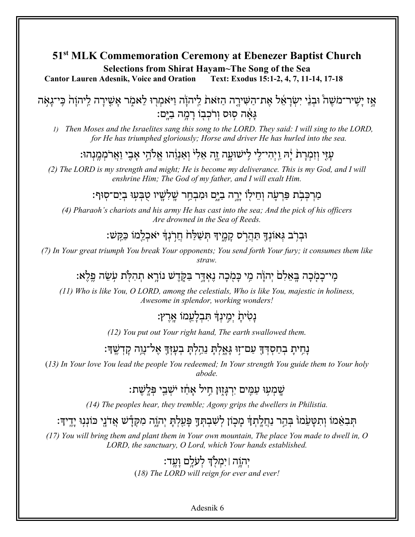#### 51<sup>st</sup> MLK Commemoration Ceremony at Ebenezer Baptist Church Selections from Shirat Havam~The Song of the Sea

**Cantor Lauren Adesnik, Voice and Oration** Text: Exodus 15:1-2, 4, 7, 11-14, 17-18

אַז יַשֶּׁיר־מֹשֶׁה וּבְנֵי יִשְׂרַאֵל אֶת־הַשִּׁירֶה הַזֹּאַת לַיְהוֹה וַיֹּאמְרִוּ לֵאמְר אֲשֶׁירַה לַיהוַה כִּי־גַאָּה גאה סוס ורכבו רמה בים:

Then Moses and the Israelites sang this song to the LORD. They said: I will sing to the LORD,  $\overline{D}$ for He has triumphed gloriously; Horse and driver He has hurled into the sea.

### עזי וזמרת יה ויהי־לי לישועה זה אלי ואנוהו אלהי אבי וארממנהו:

(2) The LORD is my strength and might; He is become my deliverance. This is my God, and I will enshrine Him; The God of my father, and I will exalt Him.

#### מרכבת פרעה וחילו ירה בים ומבחר שלשיו טבעו בים־סוף:

(4) Pharaoh's chariots and his army He has cast into the sea; And the pick of his officers Are drowned in the Sea of Reeds.

#### וּברֹב גּאוֹנדִּ תִּהרֹס קמידִּ תִּשׁלֹּחֹ חרֹנדִּ יאָכלמוֹ כּקּשׁ:

(7) In Your great triumph You break Your opponents; You send forth Your fury; it consumes them like  $straw$ 

## מי־כמכה באלם יהוה מי כמכה נאדר בקדש נורא תהלת עשה פלא:

 $(11)$  Who is like You, O LORD, among the celestials, Who is like You, majestic in holiness, Awesome in splendor, working wonders!

### נטית ימינד תבלעמו ארץ:

(12) You put out Your right hand, The earth swallowed them.

# נָחִיתָ בְחַסְדְךָּ עַם־זִוּ גָּאֲלִתַּ נִהְלִתַּ בִעַזִּךְ אֵל־נֵוֵה קַדְשֵׁךּ:

(13) In Your love You lead the people You redeemed; In Your strength You guide them to Your holy abode

#### שמעו עמים ירגזון חיל אחז ישבי פּלשת:

 $(14)$  The peoples hear, they tremble; Agony grips the dwellers in Philistia.

## תִּבְאֵמוֹ וְתִטַּעֲמוֹ בִּהֵר נַחֲלֵתִךְ מַכְוֹן לִשְׁבִתְּךָ פַּעֲלִתַּ יְהוֶֹה מִקְדָּשׁ אֲדֹנֵי כּוֹנְגִוּ יָדֵיךְ:

 $(17)$  You will bring them and plant them in Your own mountain, The place You made to dwell in, O LORD, the sanctuary, O Lord, which Your hands established.

## יְהְוֶה |יִמְלְדְ לְעֹלֵם וַעֵּד:

(18) The LORD will reign for ever and ever!

Adesnik 6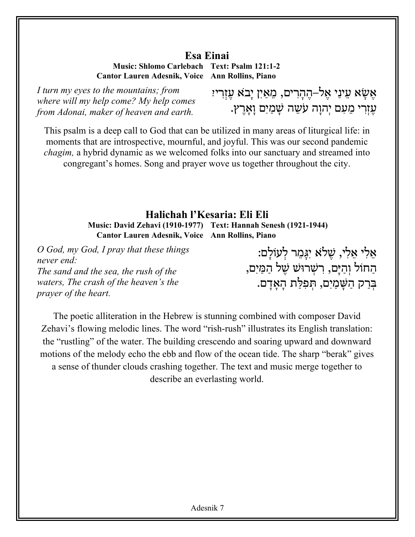#### **Esa Einai**

**Music: Shlomo Carlebach Text: Psalm 121:1-2 Cantor Lauren Adesnik, Voice Ann Rollins, Piano**

*I turn my eyes to the mountains; from where will my help come? My help comes from Adonai, maker of heaven and earth.*

אֵשָׂא עֵינַי אֵל–הֵהָרִים, מֵאַיִן יָבֹא עִזְרִיזִ ּעֲזְרִי מֵעָם יִהוַה עַשֵּׁה שָׁמַיִם וַאֲרֵץ.

This psalm is a deep call to God that can be utilized in many areas of liturgical life: in moments that are introspective, mournful, and joyful. This was our second pandemic *chagim,* a hybrid dynamic as we welcomed folks into our sanctuary and streamed into congregant's homes. Song and prayer wove us together throughout the city.

#### **Halichah l'Kesaria: Eli Eli Music: David Zehavi (1910-1977) Text: Hannah Senesh (1921-1944) Cantor Lauren Adesnik, Voice Ann Rollins, Piano**

*O God, my God, I pray that these things never end: The sand and the sea, the rush of the waters, The crash of the heaven's the prayer of the heart.*

ּאֵלִי אֵלִי, שֵׁלֹא יִגַּמֵר לְעוֹלַם: הַחוֹל וְהַיָּם, רִשְׁרוּשׁ שֵׁל הַמַּיִם, קַרְבּ םִיַמָשַּׁה , תַלִּפְתּ םָדָאָה .

The poetic alliteration in the Hebrew is stunning combined with composer David Zehavi's flowing melodic lines. The word "rish-rush" illustrates its English translation: the "rustling" of the water. The building crescendo and soaring upward and downward motions of the melody echo the ebb and flow of the ocean tide. The sharp "berak" gives a sense of thunder clouds crashing together. The text and music merge together to describe an everlasting world.